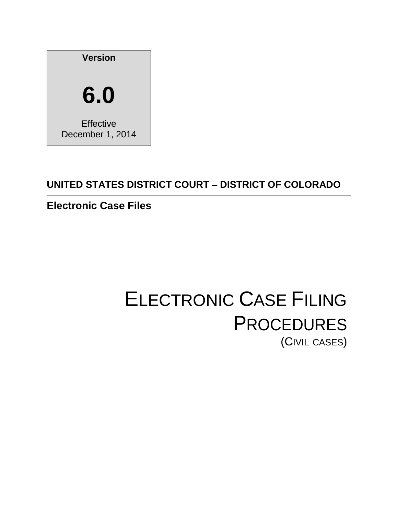

# **UNITED STATES DISTRICT COURT – DISTRICT OF COLORADO**

# **Electronic Case Files**

# ELECTRONIC CASE FILING **PROCEDURES** (CIVIL CASES)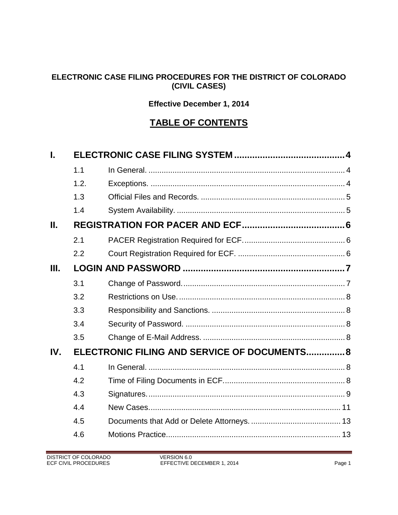#### **ELECTRONIC CASE FILING PROCEDURES FOR THE DISTRICT OF COLORADO (CIVIL CASES)**

### **Effective December 1, 2014**

## **TABLE OF CONTENTS**

| L       |                                              |  |  |
|---------|----------------------------------------------|--|--|
|         | 1.1                                          |  |  |
|         | 1.2.                                         |  |  |
|         | 1.3                                          |  |  |
|         | 1.4                                          |  |  |
| $\Pi$ . |                                              |  |  |
|         | 2.1                                          |  |  |
|         | 2.2                                          |  |  |
| Ш.      |                                              |  |  |
|         | 3.1                                          |  |  |
|         | 3.2                                          |  |  |
|         | 3.3                                          |  |  |
|         | 3.4                                          |  |  |
|         | 3.5                                          |  |  |
| IV.     | ELECTRONIC FILING AND SERVICE OF DOCUMENTS 8 |  |  |
|         | 4.1                                          |  |  |
|         | 4.2                                          |  |  |
|         | 4.3                                          |  |  |
|         | 4.4                                          |  |  |
|         | 4.5                                          |  |  |
|         | 4.6                                          |  |  |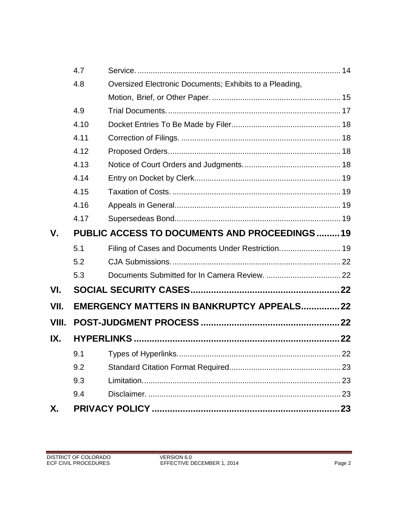|       | 4.7  |                                                         |  |  |
|-------|------|---------------------------------------------------------|--|--|
|       | 4.8  | Oversized Electronic Documents; Exhibits to a Pleading, |  |  |
|       |      |                                                         |  |  |
|       | 4.9  |                                                         |  |  |
|       | 4.10 |                                                         |  |  |
|       | 4.11 |                                                         |  |  |
|       | 4.12 |                                                         |  |  |
|       | 4.13 |                                                         |  |  |
|       | 4.14 |                                                         |  |  |
|       | 4.15 |                                                         |  |  |
|       | 4.16 |                                                         |  |  |
|       | 4.17 |                                                         |  |  |
| V.    |      | <b>PUBLIC ACCESS TO DOCUMENTS AND PROCEEDINGS19</b>     |  |  |
|       | 5.1  | Filing of Cases and Documents Under Restriction 19      |  |  |
|       | 5.2  |                                                         |  |  |
|       | 5.3  |                                                         |  |  |
| VI.   |      |                                                         |  |  |
| VII.  |      | EMERGENCY MATTERS IN BANKRUPTCY APPEALS 22              |  |  |
| VIII. |      |                                                         |  |  |
| IX.   |      |                                                         |  |  |
|       | 9.1  |                                                         |  |  |
|       | 9.2  |                                                         |  |  |
|       | 9.3  |                                                         |  |  |
|       | 9.4  |                                                         |  |  |
| Χ.    |      |                                                         |  |  |
|       |      |                                                         |  |  |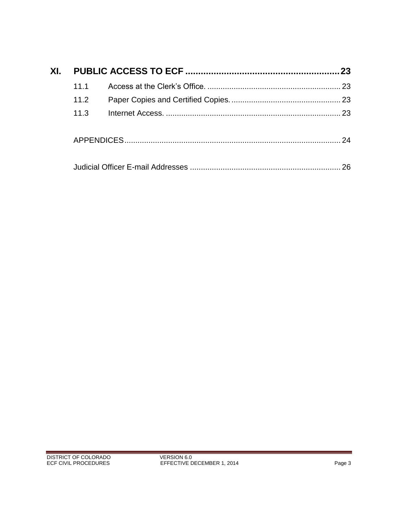| XI. |      | 23 |
|-----|------|----|
|     | 111  |    |
|     | 11.2 |    |
|     | 11.3 | 23 |
|     |      | 24 |
|     |      | 26 |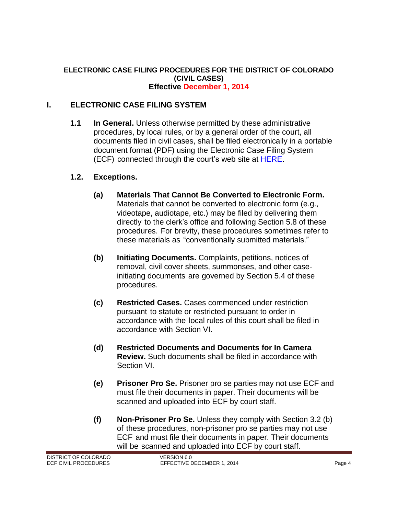#### **ELECTRONIC CASE FILING PROCEDURES FOR THE DISTRICT OF COLORADO (CIVIL CASES) Effective December 1, 2014**

#### <span id="page-4-1"></span><span id="page-4-0"></span>**I. ELECTRONIC CASE FILING SYSTEM**

**1.1 In General.** Unless otherwise permitted by these administrative procedures, by local rules, or by a general order of the court, all documents filed in civil cases, shall be filed electronically in a portable document format (PDF) using the Electronic Case Filing System (ECF) connected through the court's web site at [HERE.](http://www.cod.uscourts.gov/CourtOperations/CMECF.aspx)

#### <span id="page-4-2"></span>**1.2. Exceptions.**

- **(a) Materials That Cannot Be Converted to Electronic Form.**  Materials that cannot be converted to electronic form (e.g., videotape, audiotape, etc.) may be filed by delivering them directly to the clerk's office and following Section 5.8 of these procedures. For brevity, these procedures sometimes refer to these materials as "conventionally submitted materials."
- **(b) Initiating Documents.** Complaints, petitions, notices of removal, civil cover sheets, summonses, and other caseinitiating documents are governed by Section 5.4 of these procedures.
- **(c) Restricted Cases.** Cases commenced under restriction pursuant to statute or restricted pursuant to order in accordance with the local rules of this court shall be filed in accordance with Section VI.
- **(d) Restricted Documents and Documents for In Camera Review.** Such documents shall be filed in accordance with Section VI.
- **(e) Prisoner Pro Se.** Prisoner pro se parties may not use ECF and must file their documents in paper. Their documents will be scanned and uploaded into ECF by court staff.
- **(f) Non-Prisoner Pro Se.** Unless they comply with Section 3.2 (b) of these procedures, non-prisoner pro se parties may not use ECF and must file their documents in paper. Their documents will be scanned and uploaded into ECF by court staff.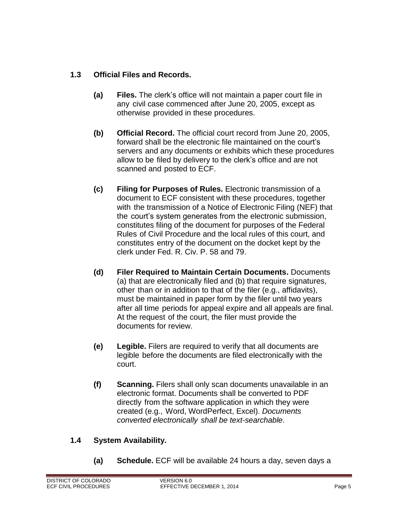#### <span id="page-5-0"></span>**1.3 Official Files and Records.**

- **(a) Files.** The clerk's office will not maintain a paper court file in any civil case commenced after June 20, 2005, except as otherwise provided in these procedures.
- **(b) Official Record.** The official court record from June 20, 2005, forward shall be the electronic file maintained on the court's servers and any documents or exhibits which these procedures allow to be filed by delivery to the clerk's office and are not scanned and posted to ECF.
- **(c) Filing for Purposes of Rules.** Electronic transmission of a document to ECF consistent with these procedures, together with the transmission of a Notice of Electronic Filing (NEF) that the court's system generates from the electronic submission, constitutes filing of the document for purposes of the Federal Rules of Civil Procedure and the local rules of this court, and constitutes entry of the document on the docket kept by the clerk under Fed. R. Civ. P. 58 and 79.
- **(d) Filer Required to Maintain Certain Documents.** Documents (a) that are electronically filed and (b) that require signatures, other than or in addition to that of the filer (e.g., affidavits), must be maintained in paper form by the filer until two years after all time periods for appeal expire and all appeals are final. At the request of the court, the filer must provide the documents for review.
- **(e) Legible.** Filers are required to verify that all documents are legible before the documents are filed electronically with the court.
- **(f) Scanning.** Filers shall only scan documents unavailable in an electronic format. Documents shall be converted to PDF directly from the software application in which they were created (e.g., Word, WordPerfect, Excel). *Documents converted electronically shall be text-searchable*.

#### <span id="page-5-1"></span>**1.4 System Availability.**

**(a) Schedule.** ECF will be available 24 hours a day, seven days a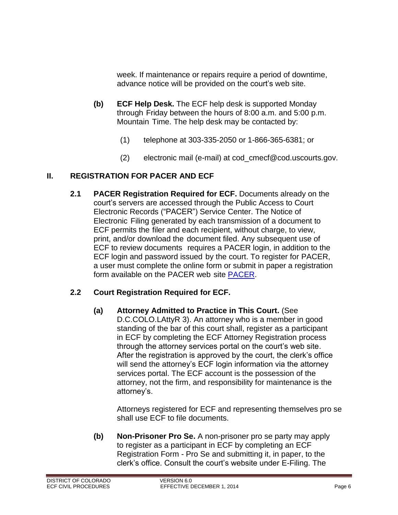week. If maintenance or repairs require a period of downtime, advance notice will be provided on the court's web site.

- **(b) ECF Help Desk.** The ECF help desk is supported Monday through Friday between the hours of 8:00 a.m. and 5:00 p.m. Mountain Time. The help desk may be contacted by:
	- (1) telephone at 303-335-2050 or 1-866-365-6381; or
	- (2) electronic mail (e-mail) at [cod\\_cmecf@cod.uscourts.gov.](mailto:cod_cmecf@cod.uscourts.gov)

#### <span id="page-6-1"></span><span id="page-6-0"></span>**II. REGISTRATION FOR PACER AND ECF**

**2.1 PACER Registration Required for ECF.** Documents already on the court's servers are accessed through the Public Access to Court Electronic Records ("PACER") Service Center. The Notice of Electronic Filing generated by each transmission of a document to ECF permits the filer and each recipient, without charge, to view, print, and/or download the document filed. Any subsequent use of ECF to review documents requires a PACER login, in addition to the ECF login and password issued by the court. To register for PACER, a user must complete the online form or submit in paper a registration form available on the PACER web site **PACER**.

#### <span id="page-6-2"></span>**2.2 Court Registration Required for ECF.**

**(a) Attorney Admitted to Practice in This Court.** (See D.C.COLO.LAttyR 3). An attorney who is a member in good standing of the bar of this court shall, register as a participant in ECF by completing the ECF Attorney Registration process through the attorney services portal on the court's web site. After the registration is approved by the court, the clerk's office will send the attorney's ECF login information via the attorney services portal. The ECF account is the possession of the attorney, not the firm, and responsibility for maintenance is the attorney's.

Attorneys registered for ECF and representing themselves pro se shall use ECF to file documents.

**(b) Non-Prisoner Pro Se.** A non-prisoner pro se party may apply to register as a participant in ECF by completing an ECF Registration Form - Pro Se and submitting it, in paper, to the clerk's office. Consult the court's website under E-Filing. The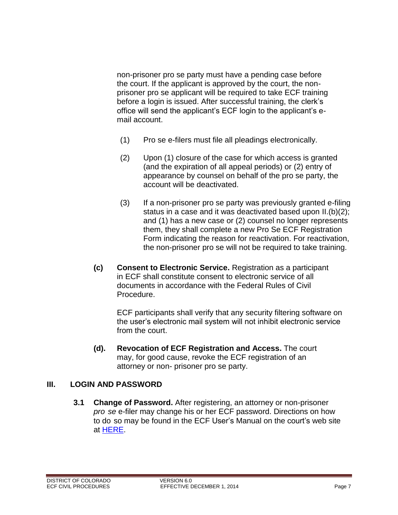non-prisoner pro se party must have a pending case before the court. If the applicant is approved by the court, the nonprisoner pro se applicant will be required to take ECF training before a login is issued. After successful training, the clerk's office will send the applicant's ECF login to the applicant's email account.

- (1) Pro se e-filers must file all pleadings electronically.
- (2) Upon (1) closure of the case for which access is granted (and the expiration of all appeal periods) or (2) entry of appearance by counsel on behalf of the pro se party, the account will be deactivated.
- (3) If a non-prisoner pro se party was previously granted e-filing status in a case and it was deactivated based upon II.(b)(2); and (1) has a new case or (2) counsel no longer represents them, they shall complete a new Pro Se ECF Registration Form indicating the reason for reactivation. For reactivation, the non-prisoner pro se will not be required to take training.
- **(c) Consent to Electronic Service.** Registration as a participant in ECF shall constitute consent to electronic service of all documents in accordance with the Federal Rules of Civil Procedure.

ECF participants shall verify that any security filtering software on the user's electronic mail system will not inhibit electronic service from the court.

**(d). Revocation of ECF Registration and Access.** The court may, for good cause, revoke the ECF registration of an attorney or non- prisoner pro se party.

#### <span id="page-7-1"></span><span id="page-7-0"></span>**III. LOGIN AND PASSWORD**

<span id="page-7-2"></span>**3.1 Change of Password.** After registering, an attorney or non-prisoner *pro se* e-filer may change his or her ECF password. Directions on how to do so may be found in the ECF User's Manual on the court's web site at [HERE.](http://www.cod.uscourts.gov/CourtOperations/CMECF.aspx)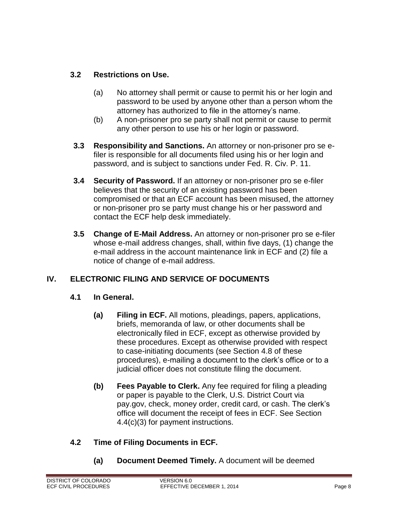#### **3.2 Restrictions on Use.**

- (a) No attorney shall permit or cause to permit his or her login and password to be used by anyone other than a person whom the attorney has authorized to file in the attorney's name.
- (b) A non-prisoner pro se party shall not permit or cause to permit any other person to use his or her login or password.
- <span id="page-8-0"></span>**3.3 Responsibility and Sanctions.** An attorney or non-prisoner pro se efiler is responsible for all documents filed using his or her login and password, and is subject to sanctions under Fed. R. Civ. P. 11.
- <span id="page-8-1"></span>**3.4 Security of Password.** If an attorney or non-prisoner pro se e-filer believes that the security of an existing password has been compromised or that an ECF account has been misused, the attorney or non-prisoner pro se party must change his or her password and contact the ECF help desk immediately.
- <span id="page-8-2"></span>**3.5 Change of E-Mail Address.** An attorney or non-prisoner pro se e-filer whose e-mail address changes, shall, within five days, (1) change the e-mail address in the account maintenance link in ECF and (2) file a notice of change of e-mail address.

#### <span id="page-8-4"></span><span id="page-8-3"></span>**IV. ELECTRONIC FILING AND SERVICE OF DOCUMENTS**

#### **4.1 In General.**

- **(a) Filing in ECF.** All motions, pleadings, papers, applications, briefs, memoranda of law, or other documents shall be electronically filed in ECF, except as otherwise provided by these procedures. Except as otherwise provided with respect to case-initiating documents (see Section 4.8 of these procedures), e-mailing a document to the clerk's office or to a judicial officer does not constitute filing the document.
- **(b) Fees Payable to Clerk.** Any fee required for filing a pleading or paper is payable to the Clerk, U.S. District Court via pay.gov, check, money order, credit card, or cash. The clerk's office will document the receipt of fees in ECF. See Section 4.4(c)(3) for payment instructions.

#### <span id="page-8-5"></span>**4.2 Time of Filing Documents in ECF.**

**(a) Document Deemed Timely.** A document will be deemed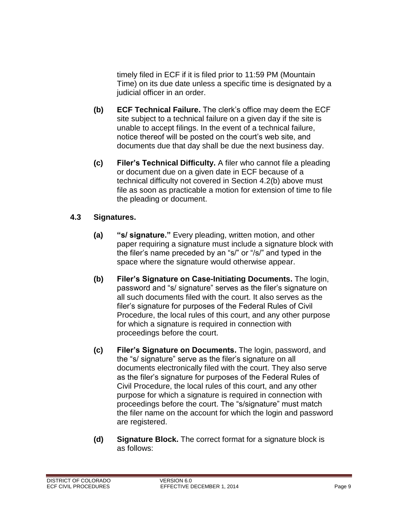timely filed in ECF if it is filed prior to 11:59 PM (Mountain Time) on its due date unless a specific time is designated by a judicial officer in an order.

- **(b) ECF Technical Failure.** The clerk's office may deem the ECF site subject to a technical failure on a given day if the site is unable to accept filings. In the event of a technical failure, notice thereof will be posted on the court's web site, and documents due that day shall be due the next business day.
- **(c) Filer's Technical Difficulty.** A filer who cannot file a pleading or document due on a given date in ECF because of a technical difficulty not covered in Section 4.2(b) above must file as soon as practicable a motion for extension of time to file the pleading or document.

#### <span id="page-9-0"></span>**4.3 Signatures.**

- **(a) "s/ signature."** Every pleading, written motion, and other paper requiring a signature must include a signature block with the filer's name preceded by an "s/" or "/s/" and typed in the space where the signature would otherwise appear.
- **(b) Filer's Signature on Case-Initiating Documents.** The login, password and "s/ signature" serves as the filer's signature on all such documents filed with the court. It also serves as the filer's signature for purposes of the Federal Rules of Civil Procedure, the local rules of this court, and any other purpose for which a signature is required in connection with proceedings before the court.
- **(c) Filer's Signature on Documents.** The login, password, and the "s/ signature" serve as the filer's signature on all documents electronically filed with the court. They also serve as the filer's signature for purposes of the Federal Rules of Civil Procedure, the local rules of this court, and any other purpose for which a signature is required in connection with proceedings before the court. The "s/signature" must match the filer name on the account for which the login and password are registered.
- **(d) Signature Block.** The correct format for a signature block is as follows: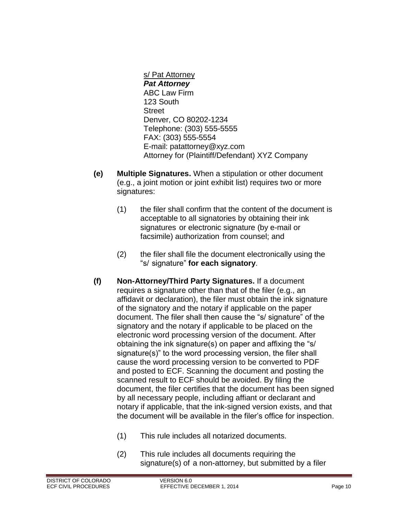s/ Pat Attorney *Pat Attorney* ABC Law Firm 123 South **Street** Denver, CO 80202-1234 Telephone: (303) 555-5555 FAX: (303) 555-5554 E-mail: [patattorney@xyz.com](mailto:patattorney@xyz.com) Attorney for (Plaintiff/Defendant) XYZ Company

- **(e) Multiple Signatures.** When a stipulation or other document (e.g., a joint motion or joint exhibit list) requires two or more signatures:
	- (1) the filer shall confirm that the content of the document is acceptable to all signatories by obtaining their ink signatures or electronic signature (by e-mail or facsimile) authorization from counsel; and
	- (2) the filer shall file the document electronically using the "s/ signature" **for each signatory**.
- **(f) Non-Attorney/Third Party Signatures.** If a document requires a signature other than that of the filer (e.g., an affidavit or declaration), the filer must obtain the ink signature of the signatory and the notary if applicable on the paper document. The filer shall then cause the "s/ signature" of the signatory and the notary if applicable to be placed on the electronic word processing version of the document. After obtaining the ink signature(s) on paper and affixing the "s/ signature(s)" to the word processing version, the filer shall cause the word processing version to be converted to PDF and posted to ECF. Scanning the document and posting the scanned result to ECF should be avoided. By filing the document, the filer certifies that the document has been signed by all necessary people, including affiant or declarant and notary if applicable, that the ink-signed version exists, and that the document will be available in the filer's office for inspection.
	- (1) This rule includes all notarized documents.
	- (2) This rule includes all documents requiring the signature(s) of a non-attorney, but submitted by a filer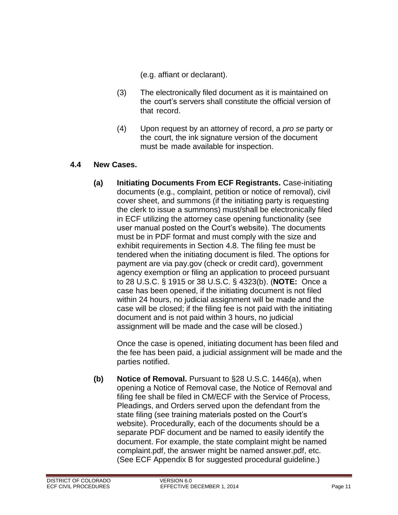(e.g. affiant or declarant).

- (3) The electronically filed document as it is maintained on the court's servers shall constitute the official version of that record.
- (4) Upon request by an attorney of record, a *pro se* party or the court, the ink signature version of the document must be made available for inspection.

#### <span id="page-11-0"></span>**4.4 New Cases.**

**(a) Initiating Documents From ECF Registrants.** Case-initiating documents (e.g., complaint, petition or notice of removal), civil cover sheet, and summons (if the initiating party is requesting the clerk to issue a summons) must/shall be electronically filed in ECF utilizing the attorney case opening functionality (see user manual posted on the Court's website). The documents must be in PDF format and must comply with the size and exhibit requirements in Section 4.8. The filing fee must be tendered when the initiating document is filed. The options for payment are via pay.gov (check or credit card), government agency exemption or filing an application to proceed pursuant to 28 U.S.C. § 1915 or 38 U.S.C. § 4323(b). (**NOTE:** Once a case has been opened, if the initiating document is not filed within 24 hours, no judicial assignment will be made and the case will be closed; if the filing fee is not paid with the initiating document and is not paid within 3 hours, no judicial assignment will be made and the case will be closed.)

Once the case is opened, initiating document has been filed and the fee has been paid, a judicial assignment will be made and the parties notified.

**(b) Notice of Removal.** Pursuant to §28 U.S.C. 1446(a), when opening a Notice of Removal case, the Notice of Removal and filing fee shall be filed in CM/ECF with the Service of Process, Pleadings, and Orders served upon the defendant from the state filing (see training materials posted on the Court's website). Procedurally, each of the documents should be a separate PDF document and be named to easily identify the document. For example, the state complaint might be named complaint.pdf, the answer might be named answer.pdf, etc. (See ECF Appendix B for suggested procedural guideline.)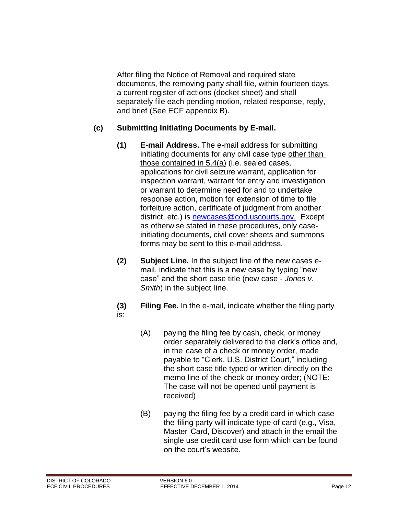After filing the Notice of Removal and required state documents, the removing party shall file, within fourteen days, a current register of actions (docket sheet) and shall separately file each pending motion, related response, reply, and brief (See ECF appendix B).

#### **(c) Submitting Initiating Documents by E-mail.**

- **(1) E-mail Address.** The e-mail address for submitting initiating documents for any civil case type other than those contained in 5.4(a) (i.e. sealed cases, applications for civil seizure warrant, application for inspection warrant, warrant for entry and investigation or warrant to determine need for and to undertake response action, motion for extension of time to file forfeiture action, certificate of judgment from another district, etc.) is [newcases@cod.uscourts.gov.](mailto:newcases@cod.uscourts.gov) Except as otherwise stated in these procedures, only caseinitiating documents, civil cover sheets and summons forms may be sent to this e-mail address.
- **(2) Subject Line.** In the subject line of the new cases email, indicate that this is a new case by typing "new case" and the short case title (new case - *Jones v. Smith*) in the subject line.
- **(3) Filing Fee.** In the e-mail, indicate whether the filing party is:
	- (A) paying the filing fee by cash, check, or money order separately delivered to the clerk's office and, in the case of a check or money order, made payable to "Clerk, U.S. District Court," including the short case title typed or written directly on the memo line of the check or money order; (NOTE: The case will not be opened until payment is received)
	- (B) paying the filing fee by a credit card in which case the filing party will indicate type of card (e.g., Visa, Master Card, Discover) and attach in the email the single use credit card use form which can be found on the court's website.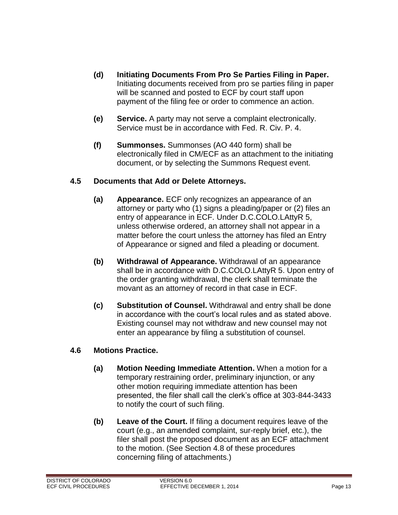- **(d) Initiating Documents From Pro Se Parties Filing in Paper.**  Initiating documents received from pro se parties filing in paper will be scanned and posted to ECF by court staff upon payment of the filing fee or order to commence an action.
- **(e) Service.** A party may not serve a complaint electronically. Service must be in accordance with Fed. R. Civ. P. 4.
- **(f) Summonses.** Summonses (AO 440 form) shall be electronically filed in CM/ECF as an attachment to the initiating document, or by selecting the Summons Request event.

#### <span id="page-13-0"></span>**4.5 Documents that Add or Delete Attorneys.**

- **(a) Appearance.** ECF only recognizes an appearance of an attorney or party who (1) signs a pleading/paper or (2) files an entry of appearance in ECF. Under D.C.COLO.LAttyR 5, unless otherwise ordered, an attorney shall not appear in a matter before the court unless the attorney has filed an Entry of Appearance or signed and filed a pleading or document.
- **(b) Withdrawal of Appearance.** Withdrawal of an appearance shall be in accordance with D.C.COLO.LAttyR 5. Upon entry of the order granting withdrawal, the clerk shall terminate the movant as an attorney of record in that case in ECF.
- **(c) Substitution of Counsel.** Withdrawal and entry shall be done in accordance with the court's local rules and as stated above. Existing counsel may not withdraw and new counsel may not enter an appearance by filing a substitution of counsel.

#### <span id="page-13-1"></span>**4.6 Motions Practice.**

- **(a) Motion Needing Immediate Attention.** When a motion for a temporary restraining order, preliminary injunction, or any other motion requiring immediate attention has been presented, the filer shall call the clerk's office at 303-844-3433 to notify the court of such filing.
- **(b) Leave of the Court.** If filing a document requires leave of the court (e.g., an amended complaint, sur-reply brief, etc.), the filer shall post the proposed document as an ECF attachment to the motion. (See Section 4.8 of these procedures concerning filing of attachments.)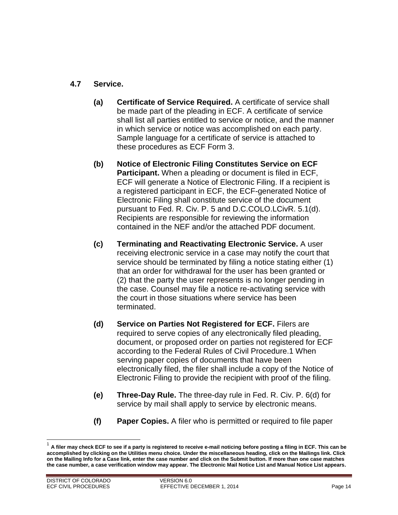#### <span id="page-14-0"></span>**4.7 Service.**

- **(a) Certificate of Service Required.** A certificate of service shall be made part of the pleading in ECF. A certificate of service shall list all parties entitled to service or notice, and the manner in which service or notice was accomplished on each party. Sample language for a certificate of service is attached to these procedures as ECF Form 3.
- **(b) Notice of Electronic Filing Constitutes Service on ECF Participant.** When a pleading or document is filed in ECF, ECF will generate a Notice of Electronic Filing. If a recipient is a registered participant in ECF, the ECF-generated Notice of Electronic Filing shall constitute service of the document pursuant to Fed. R. Civ. P. 5 and D.C.COLO.LCivR. 5.1(d). Recipients are responsible for reviewing the information contained in the NEF and/or the attached PDF document.
- **(c) Terminating and Reactivating Electronic Service.** A user receiving electronic service in a case may notify the court that service should be terminated by filing a notice stating either (1) that an order for withdrawal for the user has been granted or (2) that the party the user represents is no longer pending in the case. Counsel may file a notice re-activating service with the court in those situations where service has been terminated.
- **(d) Service on Parties Not Registered for ECF.** Filers are required to serve copies of any electronically filed pleading, document, or proposed order on parties not registered for ECF according to the Federal Rules of Civil Procedure.1 When serving paper copies of documents that have been electronically filed, the filer shall include a copy of the Notice of Electronic Filing to provide the recipient with proof of the filing.
- **(e) Three-Day Rule.** The three-day rule in Fed. R. Civ. P. 6(d) for service by mail shall apply to service by electronic means.
- **(f) Paper Copies.** A filer who is permitted or required to file paper

 $\overline{\phantom{a}}$ 

<sup>1</sup> **A filer may check ECF to see if a party is registered to receive e-mail noticing before posting a filing in ECF. This can be accomplished by clicking on the Utilities menu choice. Under the miscellaneous heading, click on the Mailings link. Click on the Mailing Info for a Case link, enter the case number and click on the Submit button. If more than one case matches the case number, a case verification window may appear. The Electronic Mail Notice List and Manual Notice List appears.**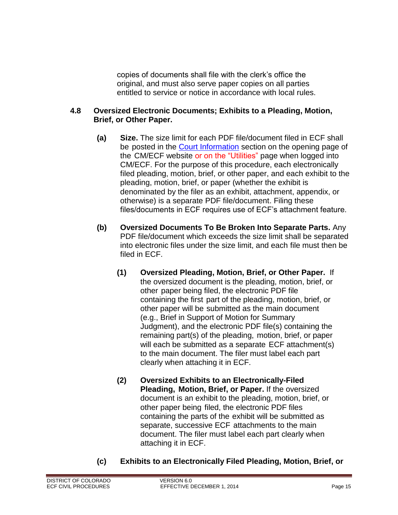copies of documents shall file with the clerk's office the original, and must also serve paper copies on all parties entitled to service or notice in accordance with local rules.

#### <span id="page-15-0"></span>**4.8 Oversized Electronic Documents; Exhibits to a Pleading, Motion, Brief, or Other Paper.**

- **(a) Size.** The size limit for each PDF file/document filed in ECF shall be posted in the [Court Information](https://ecf.cod.circ10.dcn/cgi-bin/ShowIndex.pl) section on the opening page of the CM/ECF website or on the "Utilities" page when logged into CM/ECF. For the purpose of this procedure, each electronically filed pleading, motion, brief, or other paper, and each exhibit to the pleading, motion, brief, or paper (whether the exhibit is denominated by the filer as an exhibit, attachment, appendix, or otherwise) is a separate PDF file/document. Filing these files/documents in ECF requires use of ECF's attachment feature.
- **(b) Oversized Documents To Be Broken Into Separate Parts.** Any PDF file/document which exceeds the size limit shall be separated into electronic files under the size limit, and each file must then be filed in ECF.
	- **(1) Oversized Pleading, Motion, Brief, or Other Paper.** If the oversized document is the pleading, motion, brief, or other paper being filed, the electronic PDF file containing the first part of the pleading, motion, brief, or other paper will be submitted as the main document (e.g., Brief in Support of Motion for Summary Judgment), and the electronic PDF file(s) containing the remaining part(s) of the pleading, motion, brief, or paper will each be submitted as a separate ECF attachment(s) to the main document. The filer must label each part clearly when attaching it in ECF.
	- **(2) Oversized Exhibits to an Electronically-Filed Pleading, Motion, Brief, or Paper.** If the oversized document is an exhibit to the pleading, motion, brief, or other paper being filed, the electronic PDF files containing the parts of the exhibit will be submitted as separate, successive ECF attachments to the main document. The filer must label each part clearly when attaching it in ECF.
- **(c) Exhibits to an Electronically Filed Pleading, Motion, Brief, or**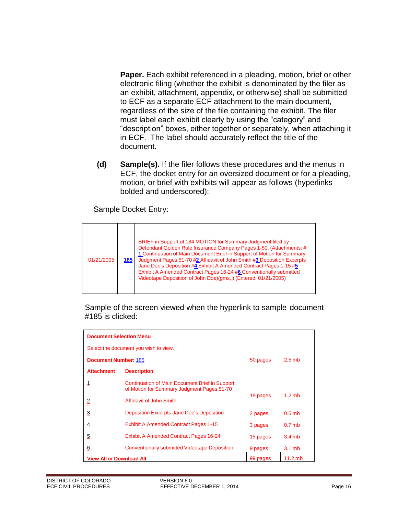**Paper.** Each exhibit referenced in a pleading, motion, brief or other electronic filing (whether the exhibit is denominated by the filer as an exhibit, attachment, appendix, or otherwise) shall be submitted to ECF as a separate ECF attachment to the main document, regardless of the size of the file containing the exhibit. The filer must label each exhibit clearly by using the "category" and "description" boxes, either together or separately, when attaching it in ECF. The label should accurately reflect the title of the document.

**(d) Sample(s).** If the filer follows these procedures and the menus in ECF, the docket entry for an oversized document or for a pleading, motion, or brief with exhibits will appear as follows (hyperlinks bolded and underscored):

Sample Docket Entry:

| 01/21/2005 | 185 | BRIEF in Support of 184 MOTION for Summary Judgment filed by<br>Defendant Golden Rule Insurance Company Pages 1-50. (Attachments: #<br>1 Continuation of Main Document Brief in Support of Motion for Summary<br>Judgment Pages 51-70 #2 Affidavit of John Smith #3 Deposition Excerpts<br>Jane Doe's Deposition #4 Exhibit A Amended Contract Pages 1-15 #5<br>Exhibit A Amended Contract Pages 16-24 #6 Conventionally submitted<br>Videotape Deposition of John Doe)(gms, ) (Entered: 01/21/2005) |
|------------|-----|------------------------------------------------------------------------------------------------------------------------------------------------------------------------------------------------------------------------------------------------------------------------------------------------------------------------------------------------------------------------------------------------------------------------------------------------------------------------------------------------------|
|------------|-----|------------------------------------------------------------------------------------------------------------------------------------------------------------------------------------------------------------------------------------------------------------------------------------------------------------------------------------------------------------------------------------------------------------------------------------------------------------------------------------------------------|

Sample of the screen viewed when the hyperlink to sample document #185 is clicked:

| <b>Document Selection Menu</b>          |                                                                                              |          |                   |
|-----------------------------------------|----------------------------------------------------------------------------------------------|----------|-------------------|
| Select the document you wish to view.   |                                                                                              |          |                   |
| <b>Document Number: 185</b><br>50 pages |                                                                                              |          | $2.5$ mb          |
| <b>Attachment</b>                       | <b>Description</b>                                                                           |          |                   |
|                                         | Continuation of Main Document Brief in Support<br>of Motion for Summary Judgment Pages 51-70 |          |                   |
| $\overline{2}$                          | Affidavit of John Smith                                                                      | 19 pages | $1.2$ mb          |
| $\overline{3}$                          | <b>Deposition Excerpts Jane Doe's Deposition</b>                                             | 2 pages  | $0.5$ mb          |
| $\overline{4}$                          | <b>Exhibit A Amended Contract Pages 1-15</b>                                                 | 3 pages  | 0.7 <sub>mb</sub> |
| 5                                       | <b>Exhibit A Amended Contract Pages 16-24</b>                                                | 15 pages | 3.4mb             |
| $6\overline{6}$                         | <b>Conventionally submitted Videotape Deposition</b>                                         | 9 pages  | $3.1 \text{ mb}$  |
| <b>View All or Download All</b>         |                                                                                              | 99 pages | $11.2$ mb         |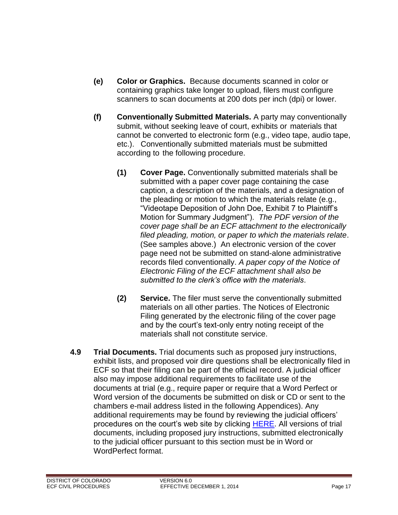- **(e) Color or Graphics.** Because documents scanned in color or containing graphics take longer to upload, filers must configure scanners to scan documents at 200 dots per inch (dpi) or lower.
- **(f) Conventionally Submitted Materials.** A party may conventionally submit, without seeking leave of court, exhibits or materials that cannot be converted to electronic form (e.g., video tape, audio tape, etc.). Conventionally submitted materials must be submitted according to the following procedure.
	- **(1) Cover Page.** Conventionally submitted materials shall be submitted with a paper cover page containing the case caption, a description of the materials, and a designation of the pleading or motion to which the materials relate (e.g., "Videotape Deposition of John Doe, Exhibit 7 to Plaintiff's Motion for Summary Judgment"). *The PDF version of the cover page shall be an ECF attachment to the electronically filed pleading, motion, or paper to which the materials relate*. (See samples above.) An electronic version of the cover page need not be submitted on stand-alone administrative records filed conventionally. *A paper copy of the Notice of Electronic Filing of the ECF attachment shall also be submitted to the clerk's office with the materials*.
	- **(2) Service.** The filer must serve the conventionally submitted materials on all other parties. The Notices of Electronic Filing generated by the electronic filing of the cover page and by the court's text-only entry noting receipt of the materials shall not constitute service.
- <span id="page-17-0"></span>**4.9 Trial Documents.** Trial documents such as proposed jury instructions, exhibit lists, and proposed voir dire questions shall be electronically filed in ECF so that their filing can be part of the official record. A judicial officer also may impose additional requirements to facilitate use of the documents at trial (e.g., require paper or require that a Word Perfect or Word version of the documents be submitted on disk or CD or sent to the chambers e-mail address listed in the following Appendices). Any additional requirements may be found by reviewing the judicial officers' procedures on the court's web site by clicking [HERE.](http://www.cod.uscourts.gov/JudicialOfficers.aspx) All versions of trial documents, including proposed jury instructions, submitted electronically to the judicial officer pursuant to this section must be in Word or WordPerfect format.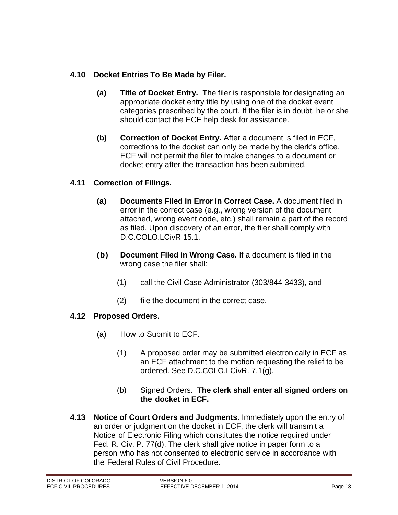#### <span id="page-18-0"></span>**4.10 Docket Entries To Be Made by Filer.**

- **(a) Title of Docket Entry.** The filer is responsible for designating an appropriate docket entry title by using one of the docket event categories prescribed by the court. If the filer is in doubt, he or she should contact the ECF help desk for assistance.
- **(b) Correction of Docket Entry.** After a document is filed in ECF, corrections to the docket can only be made by the clerk's office. ECF will not permit the filer to make changes to a document or docket entry after the transaction has been submitted.

#### <span id="page-18-1"></span>**4.11 Correction of Filings.**

- **(a) Documents Filed in Error in Correct Case.** A document filed in error in the correct case (e.g., wrong version of the document attached, wrong event code, etc.) shall remain a part of the record as filed. Upon discovery of an error, the filer shall comply with D.C.COLO.LCivR 15.1.
- **(b) Document Filed in Wrong Case.** If a document is filed in the wrong case the filer shall:
	- (1) call the Civil Case Administrator (303/844-3433), and
	- (2) file the document in the correct case.

#### <span id="page-18-2"></span>**4.12 Proposed Orders.**

- (a) How to Submit to ECF.
	- (1) A proposed order may be submitted electronically in ECF as an ECF attachment to the motion requesting the relief to be ordered. See D.C.COLO.LCivR. 7.1(g).
	- (b) Signed Orders. **The clerk shall enter all signed orders on the docket in ECF.**
- <span id="page-18-3"></span>**4.13 Notice of Court Orders and Judgments.** Immediately upon the entry of an order or judgment on the docket in ECF, the clerk will transmit a Notice of Electronic Filing which constitutes the notice required under Fed. R. Civ. P. 77(d). The clerk shall give notice in paper form to a person who has not consented to electronic service in accordance with the Federal Rules of Civil Procedure.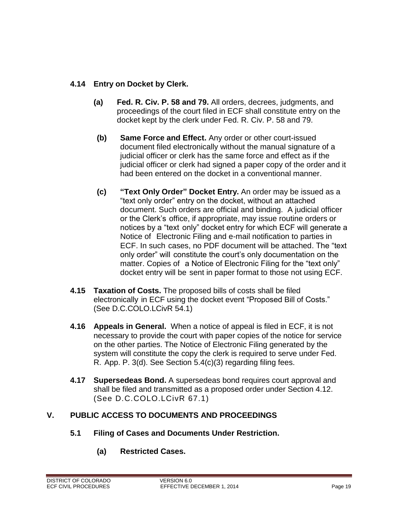#### <span id="page-19-0"></span>**4.14 Entry on Docket by Clerk.**

- **(a) Fed. R. Civ. P. 58 and 79.** All orders, decrees, judgments, and proceedings of the court filed in ECF shall constitute entry on the docket kept by the clerk under Fed. R. Civ. P. 58 and 79.
- **(b) Same Force and Effect.** Any order or other court-issued document filed electronically without the manual signature of a judicial officer or clerk has the same force and effect as if the judicial officer or clerk had signed a paper copy of the order and it had been entered on the docket in a conventional manner.
- **(c) "Text Only Order" Docket Entry.** An order may be issued as a "text only order" entry on the docket, without an attached document. Such orders are official and binding. A judicial officer or the Clerk's office, if appropriate, may issue routine orders or notices by a "text only" docket entry for which ECF will generate a Notice of Electronic Filing and e-mail notification to parties in ECF. In such cases, no PDF document will be attached. The "text only order" will constitute the court's only documentation on the matter. Copies of a Notice of Electronic Filing for the "text only" docket entry will be sent in paper format to those not using ECF.
- <span id="page-19-1"></span>**4.15 Taxation of Costs.** The proposed bills of costs shall be filed electronically in ECF using the docket event "Proposed Bill of Costs." (See D.C.COLO.LCivR 54.1)
- <span id="page-19-2"></span>**4.16 Appeals in General.** When a notice of appeal is filed in ECF, it is not necessary to provide the court with paper copies of the notice for service on the other parties. The Notice of Electronic Filing generated by the system will constitute the copy the clerk is required to serve under Fed. R. App. P. 3(d). See Section 5.4(c)(3) regarding filing fees.
- <span id="page-19-3"></span>**4.17 Supersedeas Bond.** A supersedeas bond requires court approval and shall be filed and transmitted as a proposed order under Section 4.12. (See D.C.COLO.LCivR 67.1)

#### <span id="page-19-5"></span><span id="page-19-4"></span>**V. PUBLIC ACCESS TO DOCUMENTS AND PROCEEDINGS**

- **5.1 Filing of Cases and Documents Under Restriction.**
	- **(a) Restricted Cases.**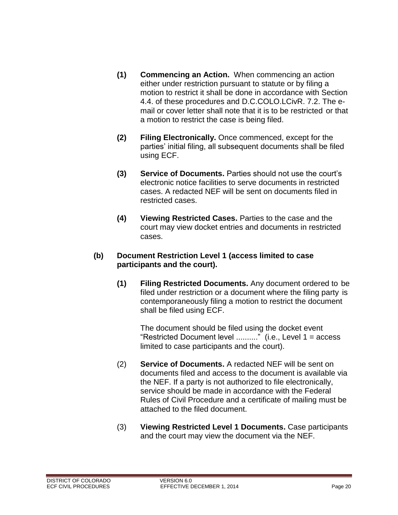- **(1) Commencing an Action.** When commencing an action either under restriction pursuant to statute or by filing a motion to restrict it shall be done in accordance with Section 4.4. of these procedures and D.C.COLO.LCivR. 7.2. The email or cover letter shall note that it is to be restricted or that a motion to restrict the case is being filed.
- **(2) Filing Electronically.** Once commenced, except for the parties' initial filing, all subsequent documents shall be filed using ECF.
- **(3) Service of Documents.** Parties should not use the court's electronic notice facilities to serve documents in restricted cases. A redacted NEF will be sent on documents filed in restricted cases.
- **(4) Viewing Restricted Cases.** Parties to the case and the court may view docket entries and documents in restricted cases.

#### **(b) Document Restriction Level 1 (access limited to case participants and the court).**

**(1) Filing Restricted Documents.** Any document ordered to be filed under restriction or a document where the filing party is contemporaneously filing a motion to restrict the document shall be filed using ECF.

The document should be filed using the docket event "Restricted Document level .........." (i.e., Level 1 = access limited to case participants and the court).

- (2) **Service of Documents.** A redacted NEF will be sent on documents filed and access to the document is available via the NEF. If a party is not authorized to file electronically, service should be made in accordance with the Federal Rules of Civil Procedure and a certificate of mailing must be attached to the filed document.
- (3) **Viewing Restricted Level 1 Documents.** Case participants and the court may view the document via the NEF.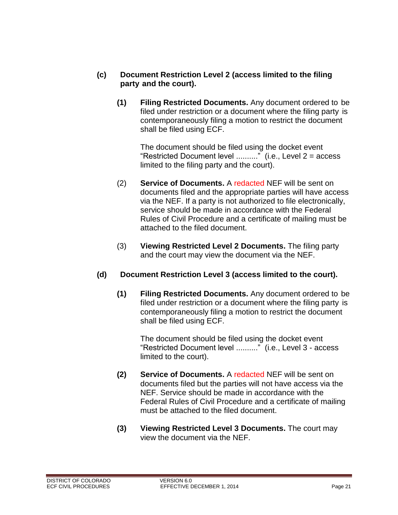- **(c) Document Restriction Level 2 (access limited to the filing party and the court).**
	- **(1) Filing Restricted Documents.** Any document ordered to be filed under restriction or a document where the filing party is contemporaneously filing a motion to restrict the document shall be filed using ECF.

The document should be filed using the docket event "Restricted Document level .........." (i.e., Level  $2 =$  access limited to the filing party and the court).

- (2) **Service of Documents.** A redacted NEF will be sent on documents filed and the appropriate parties will have access via the NEF. If a party is not authorized to file electronically, service should be made in accordance with the Federal Rules of Civil Procedure and a certificate of mailing must be attached to the filed document.
- (3) **Viewing Restricted Level 2 Documents.** The filing party and the court may view the document via the NEF.

#### **(d) Document Restriction Level 3 (access limited to the court).**

**(1) Filing Restricted Documents.** Any document ordered to be filed under restriction or a document where the filing party is contemporaneously filing a motion to restrict the document shall be filed using ECF.

The document should be filed using the docket event "Restricted Document level .........." (i.e., Level 3 - access limited to the court).

- **(2) Service of Documents.** A redacted NEF will be sent on documents filed but the parties will not have access via the NEF. Service should be made in accordance with the Federal Rules of Civil Procedure and a certificate of mailing must be attached to the filed document.
- <span id="page-21-0"></span>**(3) Viewing Restricted Level 3 Documents.** The court may view the document via the NEF.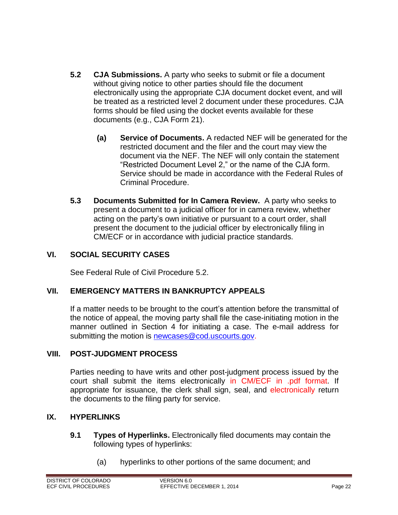- **5.2 CJA Submissions.** A party who seeks to submit or file a document without giving notice to other parties should file the document electronically using the appropriate CJA document docket event, and will be treated as a restricted level 2 document under these procedures. CJA forms should be filed using the docket events available for these documents (e.g., CJA Form 21).
	- **(a) Service of Documents.** A redacted NEF will be generated for the restricted document and the filer and the court may view the document via the NEF. The NEF will only contain the statement "Restricted Document Level 2," or the name of the CJA form. Service should be made in accordance with the Federal Rules of Criminal Procedure.
- <span id="page-22-0"></span>**5.3 Documents Submitted for In Camera Review.** A party who seeks to present a document to a judicial officer for in camera review, whether acting on the party's own initiative or pursuant to a court order, shall present the document to the judicial officer by electronically filing in CM/ECF or in accordance with judicial practice standards.

#### <span id="page-22-1"></span>**VI. SOCIAL SECURITY CASES**

See Federal Rule of Civil Procedure 5.2.

#### <span id="page-22-2"></span>**VII. EMERGENCY MATTERS IN BANKRUPTCY APPEALS**

If a matter needs to be brought to the court's attention before the transmittal of the notice of appeal, the moving party shall file the case-initiating motion in the manner outlined in Section 4 for initiating a case. The e-mail address for submitting the motion is [newcases@cod.uscourts.gov.](mailto:newcases@cod.uscourts.gov)

#### <span id="page-22-3"></span>**VIII. POST-JUDGMENT PROCESS**

Parties needing to have writs and other post-judgment process issued by the court shall submit the items electronically in CM/ECF in .pdf format. If appropriate for issuance, the clerk shall sign, seal, and electronically return the documents to the filing party for service.

#### <span id="page-22-5"></span><span id="page-22-4"></span>**IX. HYPERLINKS**

- **9.1 Types of Hyperlinks.** Electronically filed documents may contain the following types of hyperlinks:
	- (a) hyperlinks to other portions of the same document; and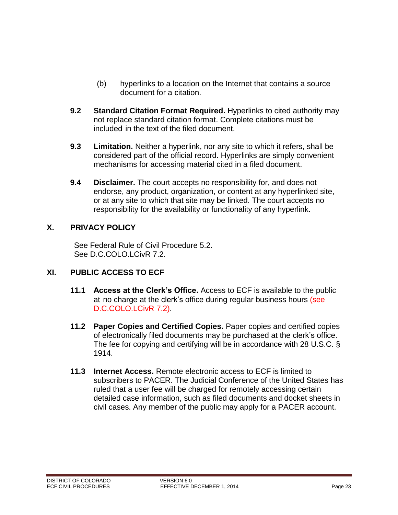- (b) hyperlinks to a location on the Internet that contains a source document for a citation.
- <span id="page-23-0"></span>**9.2 Standard Citation Format Required.** Hyperlinks to cited authority may not replace standard citation format. Complete citations must be included in the text of the filed document.
- <span id="page-23-1"></span>**9.3 Limitation.** Neither a hyperlink, nor any site to which it refers, shall be considered part of the official record. Hyperlinks are simply convenient mechanisms for accessing material cited in a filed document.
- <span id="page-23-2"></span>**9.4 Disclaimer.** The court accepts no responsibility for, and does not endorse, any product, organization, or content at any hyperlinked site, or at any site to which that site may be linked. The court accepts no responsibility for the availability or functionality of any hyperlink.

#### <span id="page-23-3"></span>**X. PRIVACY POLICY**

See Federal Rule of Civil Procedure 5.2. See D.C.COLO.LCivR 7.2.

#### <span id="page-23-5"></span><span id="page-23-4"></span>**XI. PUBLIC ACCESS TO ECF**

- **11.1 Access at the Clerk's Office.** Access to ECF is available to the public at no charge at the clerk's office during regular business hours (see D.C.COLO.LCivR 7.2).
- <span id="page-23-6"></span>**11.2 Paper Copies and Certified Copies.** Paper copies and certified copies of electronically filed documents may be purchased at the clerk's office. The fee for copying and certifying will be in accordance with 28 U.S.C. § 1914.
- <span id="page-23-7"></span>**11.3 Internet Access.** Remote electronic access to ECF is limited to subscribers to PACER. The Judicial Conference of the United States has ruled that a user fee will be charged for remotely accessing certain detailed case information, such as filed documents and docket sheets in civil cases. Any member of the public may apply for a PACER account.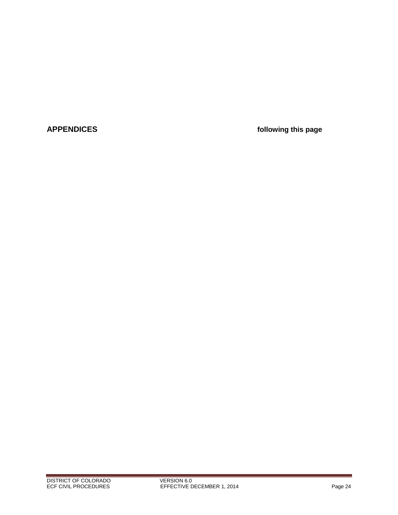<span id="page-24-0"></span>**APPENDICES following this page**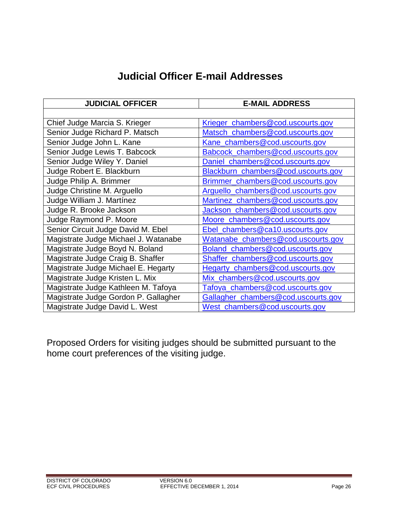# **Judicial Officer E-mail Addresses**

<span id="page-25-0"></span>

| <b>JUDICIAL OFFICER</b>              | <b>E-MAIL ADDRESS</b>               |  |  |
|--------------------------------------|-------------------------------------|--|--|
|                                      |                                     |  |  |
| Chief Judge Marcia S. Krieger        | Krieger_chambers@cod.uscourts.gov   |  |  |
| Senior Judge Richard P. Matsch       | Matsch_chambers@cod.uscourts.gov    |  |  |
| Senior Judge John L. Kane            | Kane_chambers@cod.uscourts.gov      |  |  |
| Senior Judge Lewis T. Babcock        | Babcock_chambers@cod.uscourts.gov   |  |  |
| Senior Judge Wiley Y. Daniel         | Daniel_chambers@cod.uscourts.gov    |  |  |
| Judge Robert E. Blackburn            | Blackburn_chambers@cod.uscourts.gov |  |  |
| Judge Philip A. Brimmer              | Brimmer_chambers@cod.uscourts.gov   |  |  |
| Judge Christine M. Arguello          | Arguello_chambers@cod.uscourts.gov  |  |  |
| Judge William J. Martínez            | Martinez_chambers@cod.uscourts.gov  |  |  |
| Judge R. Brooke Jackson              | Jackson_chambers@cod.uscourts.gov   |  |  |
| Judge Raymond P. Moore               | Moore_chambers@cod.uscourts.gov     |  |  |
| Senior Circuit Judge David M. Ebel   | Ebel_chambers@ca10.uscourts.gov     |  |  |
| Magistrate Judge Michael J. Watanabe | Watanabe_chambers@cod.uscourts.gov  |  |  |
| Magistrate Judge Boyd N. Boland      | Boland_chambers@cod.uscourts.gov    |  |  |
| Magistrate Judge Craig B. Shaffer    | Shaffer_chambers@cod.uscourts.gov   |  |  |
| Magistrate Judge Michael E. Hegarty  | Hegarty_chambers@cod.uscourts.gov   |  |  |
| Magistrate Judge Kristen L. Mix      | Mix_chambers@cod.uscourts.gov       |  |  |
| Magistrate Judge Kathleen M. Tafoya  | Tafoya_chambers@cod.uscourts.gov    |  |  |
| Magistrate Judge Gordon P. Gallagher | Gallagher_chambers@cod.uscourts.gov |  |  |
| Magistrate Judge David L. West       | West_chambers@cod.uscourts.gov      |  |  |

Proposed Orders for visiting judges should be submitted pursuant to the home court preferences of the visiting judge.